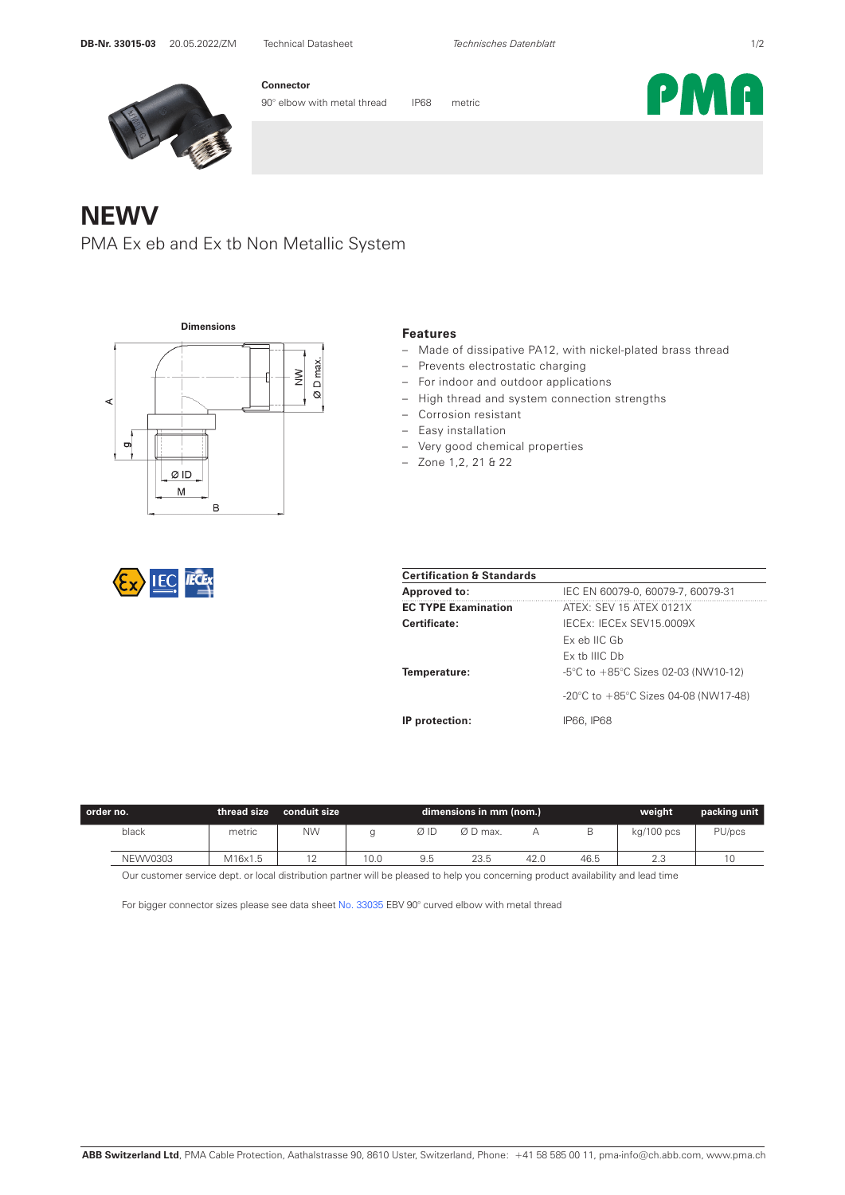

**Connector**

90° elbow with metal thread IP68 metric

## **NEWV**

PMA Ex eb and Ex tb Non Metallic System



## **Features**

- Made of dissipative PA12, with nickel-plated brass thread
- Prevents electrostatic charging
- For indoor and outdoor applications
- High thread and system connection strengths
- Corrosion resistant
- Easy installation
- Very good chemical properties
- Zone 1,2, 21 & 22

| <b>Certification &amp; Standards</b> |                                                          |  |  |  |  |
|--------------------------------------|----------------------------------------------------------|--|--|--|--|
| <b>Approved to:</b>                  | IEC EN 60079-0, 60079-7, 60079-31                        |  |  |  |  |
| <b>EC TYPE Examination</b>           | ATEX: SEV 15 ATEX 0121X                                  |  |  |  |  |
| Certificate:                         | IFCEX: IFCEX SEV15 0009X                                 |  |  |  |  |
|                                      | Ex eb IIC Gb                                             |  |  |  |  |
|                                      | Fx th IIIC Dh                                            |  |  |  |  |
| Temperature:                         | $-5^{\circ}$ C to $+85^{\circ}$ C Sizes 02-03 (NW10-12)  |  |  |  |  |
|                                      | $-20^{\circ}$ C to $+85^{\circ}$ C Sizes 04-08 (NW17-48) |  |  |  |  |
| IP protection:                       | IP66. IP68                                               |  |  |  |  |

| .order no.      | thread size | conduit size | dimensions in mm (nom.) |     |          |      | weight | packing unit |        |
|-----------------|-------------|--------------|-------------------------|-----|----------|------|--------|--------------|--------|
| black           | metric      | <b>NW</b>    |                         | ØΙD | Ø D max. |      |        | kg/100 pcs   | PU/pcs |
| <b>NEWV0303</b> | M16x1.5     |              | 10.0                    | 9.5 | 23.5     | 42.0 | 46.5   | 2.3          | v      |

Our customer service dept. or local distribution partner will be pleased to help you concerning product availability and lead time

For bigger connector sizes please see data sheet No. 33035 EBV 90° curved elbow with metal thread